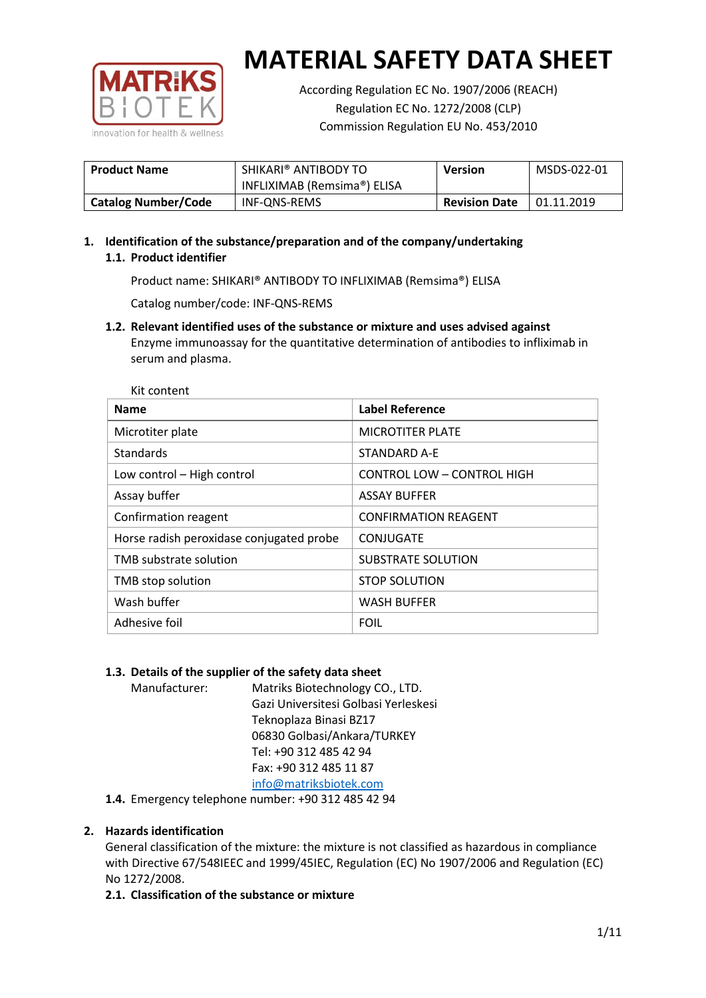

According Regulation EC No. 1907/2006 (REACH) Regulation EC No. 1272/2008 (CLP) Commission Regulation EU No. 453/2010

| <b>Product Name</b>        | SHIKARI® ANTIBODY TO<br>INFLIXIMAB (Remsima®) ELISA | <b>Version</b>       | MSDS-022-01 |
|----------------------------|-----------------------------------------------------|----------------------|-------------|
| <b>Catalog Number/Code</b> | INF-QNS-REMS                                        | <b>Revision Date</b> | 01.11.2019  |

# **1. Identification of the substance/preparation and of the company/undertaking 1.1. Product identifier**

Product name: SHIKARI® ANTIBODY TO INFLIXIMAB (Remsima®) ELISA

Catalog number/code: INF-QNS-REMS

**1.2. Relevant identified uses of the substance or mixture and uses advised against** Enzyme immunoassay for the quantitative determination of antibodies to infliximab in serum and plasma.

| Kit content                              |                             |  |  |  |
|------------------------------------------|-----------------------------|--|--|--|
| <b>Name</b>                              | <b>Label Reference</b>      |  |  |  |
| Microtiter plate                         | <b>MICROTITER PLATE</b>     |  |  |  |
| <b>Standards</b>                         | STANDARD A-E                |  |  |  |
| Low control - High control               | CONTROL LOW - CONTROL HIGH  |  |  |  |
| Assay buffer                             | <b>ASSAY BUFFER</b>         |  |  |  |
| Confirmation reagent                     | <b>CONFIRMATION REAGENT</b> |  |  |  |
| Horse radish peroxidase conjugated probe | CONJUGATE                   |  |  |  |
| TMB substrate solution                   | <b>SUBSTRATE SOLUTION</b>   |  |  |  |
| TMB stop solution                        | <b>STOP SOLUTION</b>        |  |  |  |
| Wash buffer                              | <b>WASH BUFFER</b>          |  |  |  |
| Adhesive foil                            | <b>FOIL</b>                 |  |  |  |

## **1.3. Details of the supplier of the safety data sheet**

Manufacturer: Matriks Biotechnology CO., LTD. Gazi Universitesi Golbasi Yerleskesi Teknoplaza Binasi BZ17 06830 Golbasi/Ankara/TURKEY Tel: +90 312 485 42 94 Fax: +90 312 485 11 87 [info@matriksbiotek.com](mailto:info@matriksbiotek.com)

**1.4.** Emergency telephone number: +90 312 485 42 94

# **2. Hazards identification**

General classification of the mixture: the mixture is not classified as hazardous in compliance with Directive 67/548IEEC and 1999/45IEC, Regulation (EC) No 1907/2006 and Regulation (EC) No 1272/2008.

**2.1. Classification of the substance or mixture**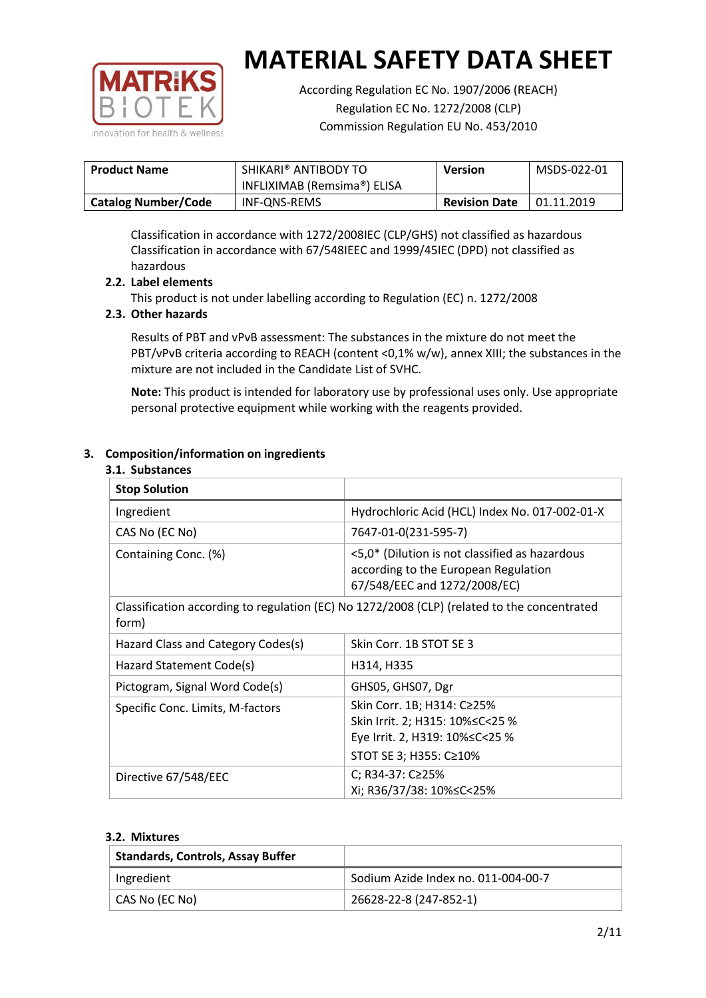

According Regulation EC No. 1907/2006 (REACH) Regulation EC No. 1272/2008 (CLP) Commission Regulation EU No. 453/2010

| <b>Product Name</b>        | SHIKARI® ANTIBODY TO<br>INFLIXIMAB (Remsima®) ELISA | <b>Version</b>       | MSDS-022-01       |
|----------------------------|-----------------------------------------------------|----------------------|-------------------|
| <b>Catalog Number/Code</b> | INF-ONS-REMS                                        | <b>Revision Date</b> | $\mid$ 01.11.2019 |

Classification in accordance with 1272/2008IEC (CLP/GHS) not classified as hazardous Classification in accordance with 67/548IEEC and 1999/45IEC (DPD) not classified as hazardous

## **2.2. Label elements**

This product is not under labelling according to Regulation (EC) n. 1272/2008

## **2.3. Other hazards**

Results of PBT and vPvB assessment: The substances in the mixture do not meet the PBT/vPvB criteria according to REACH (content <0,1% w/w), annex XIII; the substances in the mixture are not included in the Candidate List of SVHC.

**Note:** This product is intended for laboratory use by professional uses only. Use appropriate personal protective equipment while working with the reagents provided.

# **3. Composition/information on ingredients**

#### **3.1. Substances**

| <b>Stop Solution</b>                                                                                 |                                                                                                                               |
|------------------------------------------------------------------------------------------------------|-------------------------------------------------------------------------------------------------------------------------------|
| Ingredient                                                                                           | Hydrochloric Acid (HCL) Index No. 017-002-01-X                                                                                |
| CAS No (EC No)                                                                                       | 7647-01-0(231-595-7)                                                                                                          |
| Containing Conc. (%)                                                                                 | <5,0* (Dilution is not classified as hazardous<br>according to the European Regulation<br>67/548/EEC and 1272/2008/EC)        |
| Classification according to regulation (EC) No 1272/2008 (CLP) (related to the concentrated<br>form) |                                                                                                                               |
| Hazard Class and Category Codes(s)                                                                   | Skin Corr. 1B STOT SE 3                                                                                                       |
| Hazard Statement Code(s)                                                                             | H314, H335                                                                                                                    |
| Pictogram, Signal Word Code(s)                                                                       | GHS05, GHS07, Dgr                                                                                                             |
| Specific Conc. Limits, M-factors                                                                     | Skin Corr. 1B; H314: C≥25%<br>Skin Irrit. 2; H315: 10% ≤ C < 25 %<br>Eye Irrit. 2, H319: 10%≤C<25 %<br>STOT SE 3; H355: C≥10% |
| Directive 67/548/EEC                                                                                 | C; R34-37: C≥25%<br>Xi; R36/37/38: 10%≤C<25%                                                                                  |

#### **3.2. Mixtures**

| <b>Standards, Controls, Assay Buffer</b> |                                     |
|------------------------------------------|-------------------------------------|
| Ingredient                               | Sodium Azide Index no. 011-004-00-7 |
| CAS No (EC No)                           | 26628-22-8 (247-852-1)              |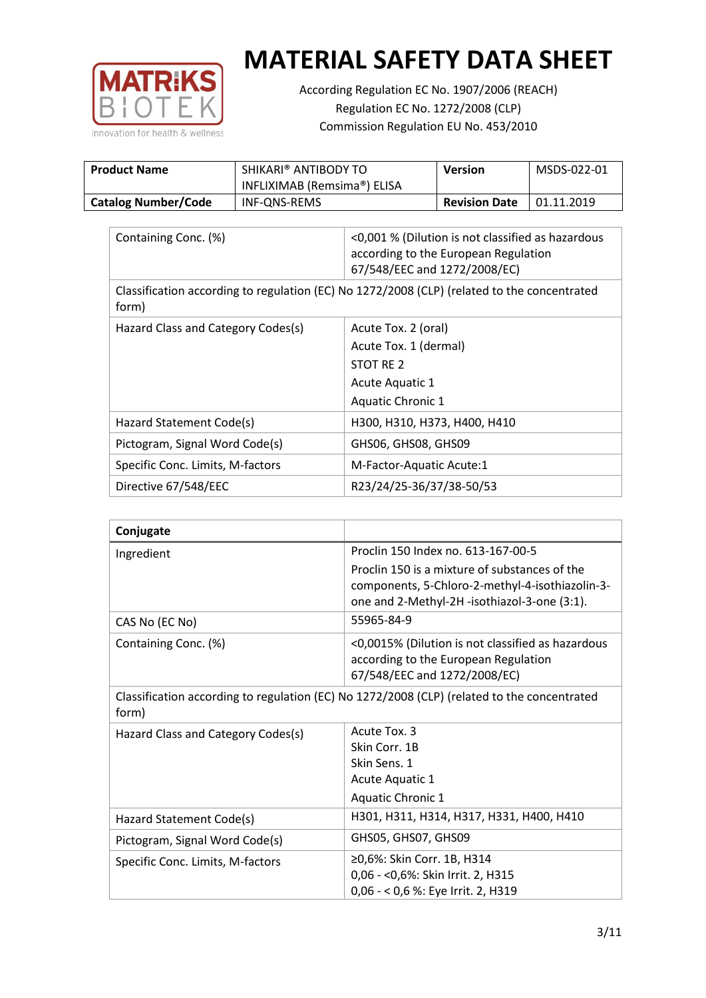

According Regulation EC No. 1907/2006 (REACH) Regulation EC No. 1272/2008 (CLP) Commission Regulation EU No. 453/2010

| <b>Product Name</b>        | SHIKARI® ANTIBODY TO<br>INFLIXIMAB (Remsima®) ELISA | Version              | MSDS-022-01 |
|----------------------------|-----------------------------------------------------|----------------------|-------------|
| <b>Catalog Number/Code</b> | INF-ONS-REMS                                        | <b>Revision Date</b> | 01.11.2019  |

| Containing Conc. (%)                                                                                 | <0,001 % (Dilution is not classified as hazardous<br>according to the European Regulation<br>67/548/EEC and 1272/2008/EC) |  |
|------------------------------------------------------------------------------------------------------|---------------------------------------------------------------------------------------------------------------------------|--|
| Classification according to regulation (EC) No 1272/2008 (CLP) (related to the concentrated<br>form) |                                                                                                                           |  |
| Hazard Class and Category Codes(s)                                                                   | Acute Tox. 2 (oral)                                                                                                       |  |
|                                                                                                      | Acute Tox. 1 (dermal)                                                                                                     |  |
|                                                                                                      | STOT RE 2                                                                                                                 |  |
|                                                                                                      | Acute Aquatic 1                                                                                                           |  |
|                                                                                                      | <b>Aquatic Chronic 1</b>                                                                                                  |  |
| Hazard Statement Code(s)                                                                             | H300, H310, H373, H400, H410                                                                                              |  |
| Pictogram, Signal Word Code(s)                                                                       | GHS06, GHS08, GHS09                                                                                                       |  |
| Specific Conc. Limits, M-factors                                                                     | M-Factor-Aquatic Acute:1                                                                                                  |  |
| Directive 67/548/EEC                                                                                 | R23/24/25-36/37/38-50/53                                                                                                  |  |

| Conjugate                          |                                                                                                                                                  |
|------------------------------------|--------------------------------------------------------------------------------------------------------------------------------------------------|
| Ingredient                         | Proclin 150 Index no. 613-167-00-5                                                                                                               |
|                                    | Proclin 150 is a mixture of substances of the<br>components, 5-Chloro-2-methyl-4-isothiazolin-3-<br>one and 2-Methyl-2H -isothiazol-3-one (3:1). |
| CAS No (EC No)                     | 55965-84-9                                                                                                                                       |
| Containing Conc. (%)               | <0,0015% (Dilution is not classified as hazardous<br>according to the European Regulation<br>67/548/EEC and 1272/2008/EC)                        |
| form)                              | Classification according to regulation (EC) No 1272/2008 (CLP) (related to the concentrated                                                      |
| Hazard Class and Category Codes(s) | Acute Tox, 3                                                                                                                                     |
|                                    | Skin Corr. 1B                                                                                                                                    |
|                                    | Skin Sens. 1                                                                                                                                     |
|                                    | <b>Acute Aquatic 1</b>                                                                                                                           |
|                                    | Aquatic Chronic 1                                                                                                                                |
| Hazard Statement Code(s)           | H301, H311, H314, H317, H331, H400, H410                                                                                                         |
| Pictogram, Signal Word Code(s)     | GHS05, GHS07, GHS09                                                                                                                              |
| Specific Conc. Limits, M-factors   | ≥0,6%: Skin Corr. 1B, H314<br>0,06 - < 0,6%: Skin Irrit. 2, H315<br>0,06 - < 0,6 %: Eye Irrit. 2, H319                                           |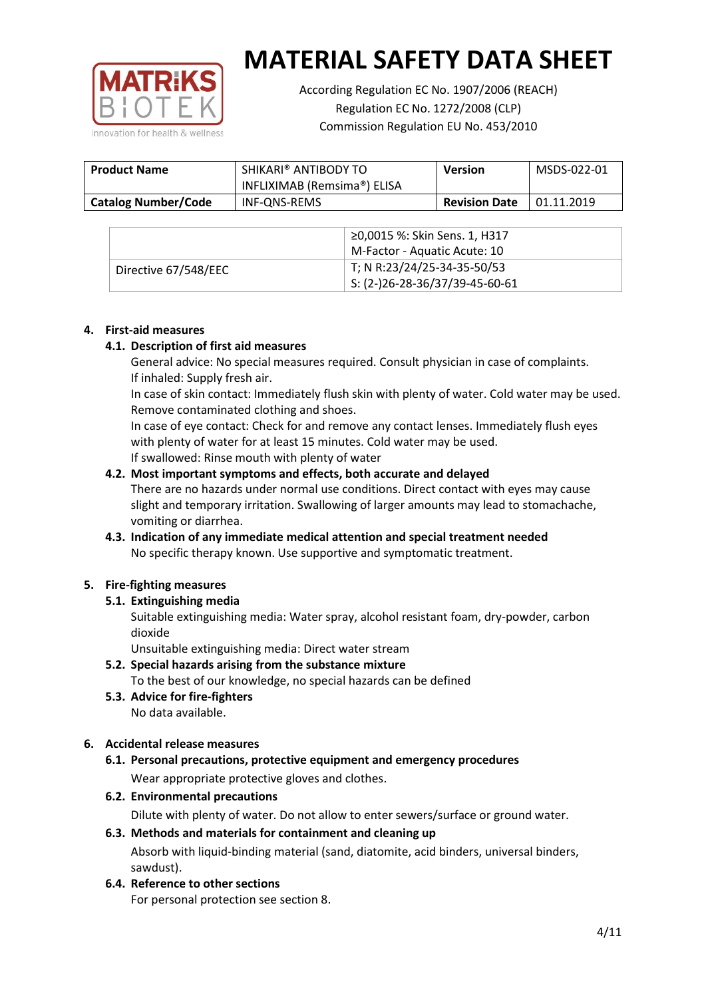

According Regulation EC No. 1907/2006 (REACH) Regulation EC No. 1272/2008 (CLP) Commission Regulation EU No. 453/2010

| <b>Product Name</b>        | SHIKARI® ANTIBODY TO<br>INFLIXIMAB (Remsima®) ELISA | <b>Version</b>       | MSDS-022-01 |
|----------------------------|-----------------------------------------------------|----------------------|-------------|
| <b>Catalog Number/Code</b> | INF-ONS-REMS                                        | <b>Revision Date</b> | 01.11.2019  |

|                      | ≥0,0015 %: Skin Sens. 1, H317                |
|----------------------|----------------------------------------------|
|                      | M-Factor - Aquatic Acute: 10                 |
| Directive 67/548/EEC | T; N R:23/24/25-34-35-50/53                  |
|                      | $\frac{1}{2}$ S: (2-)26-28-36/37/39-45-60-61 |

## **4. First-aid measures**

## **4.1. Description of first aid measures**

General advice: No special measures required. Consult physician in case of complaints. If inhaled: Supply fresh air.

In case of skin contact: Immediately flush skin with plenty of water. Cold water may be used. Remove contaminated clothing and shoes.

In case of eye contact: Check for and remove any contact lenses. Immediately flush eyes with plenty of water for at least 15 minutes. Cold water may be used. If swallowed: Rinse mouth with plenty of water

## **4.2. Most important symptoms and effects, both accurate and delayed**

There are no hazards under normal use conditions. Direct contact with eyes may cause slight and temporary irritation. Swallowing of larger amounts may lead to stomachache, vomiting or diarrhea.

## **4.3. Indication of any immediate medical attention and special treatment needed** No specific therapy known. Use supportive and symptomatic treatment.

## **5. Fire-fighting measures**

## **5.1. Extinguishing media**

Suitable extinguishing media: Water spray, alcohol resistant foam, dry-powder, carbon dioxide

Unsuitable extinguishing media: Direct water stream

- **5.2. Special hazards arising from the substance mixture** To the best of our knowledge, no special hazards can be defined
- **5.3. Advice for fire-fighters** No data available.

## **6. Accidental release measures**

- **6.1. Personal precautions, protective equipment and emergency procedures** Wear appropriate protective gloves and clothes.
- **6.2. Environmental precautions**

Dilute with plenty of water. Do not allow to enter sewers/surface or ground water.

#### **6.3. Methods and materials for containment and cleaning up**

Absorb with liquid-binding material (sand, diatomite, acid binders, universal binders, sawdust).

**6.4. Reference to other sections**

For personal protection see section 8.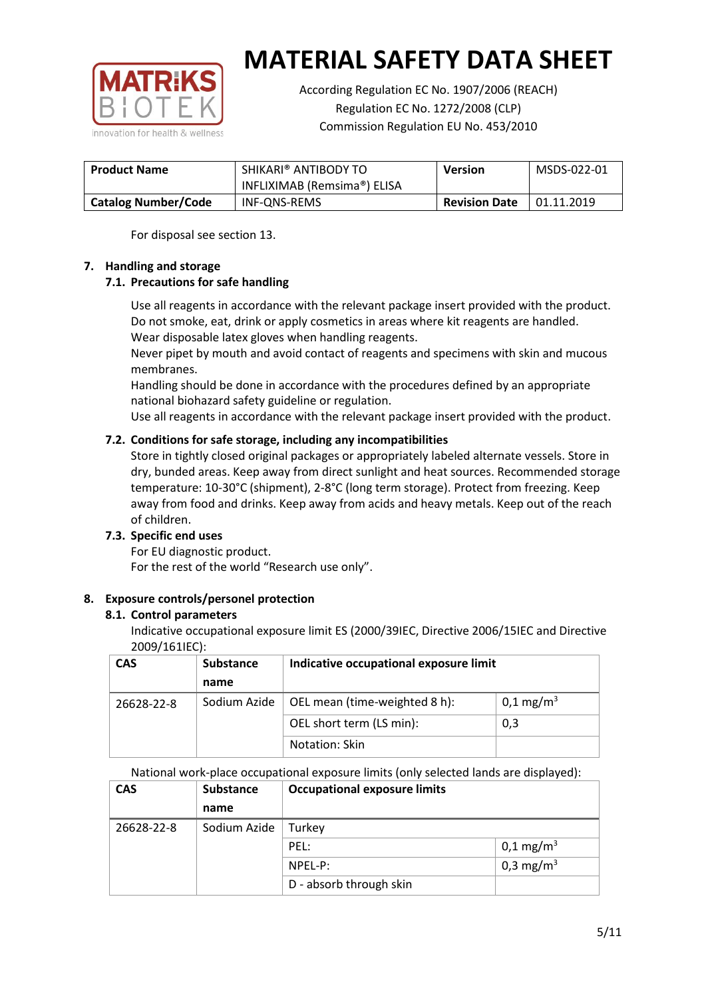

According Regulation EC No. 1907/2006 (REACH) Regulation EC No. 1272/2008 (CLP) Commission Regulation EU No. 453/2010

| <b>Product Name</b>        | SHIKARI® ANTIBODY TO<br>INFLIXIMAB (Remsima®) ELISA | <b>Version</b>       | MSDS-022-01 |
|----------------------------|-----------------------------------------------------|----------------------|-------------|
| <b>Catalog Number/Code</b> | INF-ONS-REMS                                        | <b>Revision Date</b> | 01.11.2019  |

For disposal see section 13.

## **7. Handling and storage**

## **7.1. Precautions for safe handling**

Use all reagents in accordance with the relevant package insert provided with the product. Do not smoke, eat, drink or apply cosmetics in areas where kit reagents are handled. Wear disposable latex gloves when handling reagents.

Never pipet by mouth and avoid contact of reagents and specimens with skin and mucous membranes.

Handling should be done in accordance with the procedures defined by an appropriate national biohazard safety guideline or regulation.

Use all reagents in accordance with the relevant package insert provided with the product.

## **7.2. Conditions for safe storage, including any incompatibilities**

Store in tightly closed original packages or appropriately labeled alternate vessels. Store in dry, bunded areas. Keep away from direct sunlight and heat sources. Recommended storage temperature: 10-30°C (shipment), 2-8°C (long term storage). Protect from freezing. Keep away from food and drinks. Keep away from acids and heavy metals. Keep out of the reach of children.

## **7.3. Specific end uses**

For EU diagnostic product. For the rest of the world "Research use only".

## **8. Exposure controls/personel protection**

#### **8.1. Control parameters**

Indicative occupational exposure limit ES (2000/39IEC, Directive 2006/15IEC and Directive 2009/161IEC):

| <b>CAS</b> | <b>Substance</b> | Indicative occupational exposure limit |                         |
|------------|------------------|----------------------------------------|-------------------------|
|            | name             |                                        |                         |
| 26628-22-8 | Sodium Azide     | OEL mean (time-weighted 8 h):          | $0,1 \,\mathrm{mg/m^3}$ |
|            |                  | OEL short term (LS min):               | 0,3                     |
|            |                  | Notation: Skin                         |                         |

National work-place occupational exposure limits (only selected lands are displayed):

| <b>CAS</b> | <b>Substance</b> | <b>Occupational exposure limits</b> |                         |  |
|------------|------------------|-------------------------------------|-------------------------|--|
|            | name             |                                     |                         |  |
| 26628-22-8 | Sodium Azide     | Turkey                              |                         |  |
|            |                  | PEL:                                | $0,1 \,\mathrm{mg/m^3}$ |  |
|            |                  | $NPEL-P$ :                          | 0,3 mg/m <sup>3</sup>   |  |
|            |                  | D - absorb through skin             |                         |  |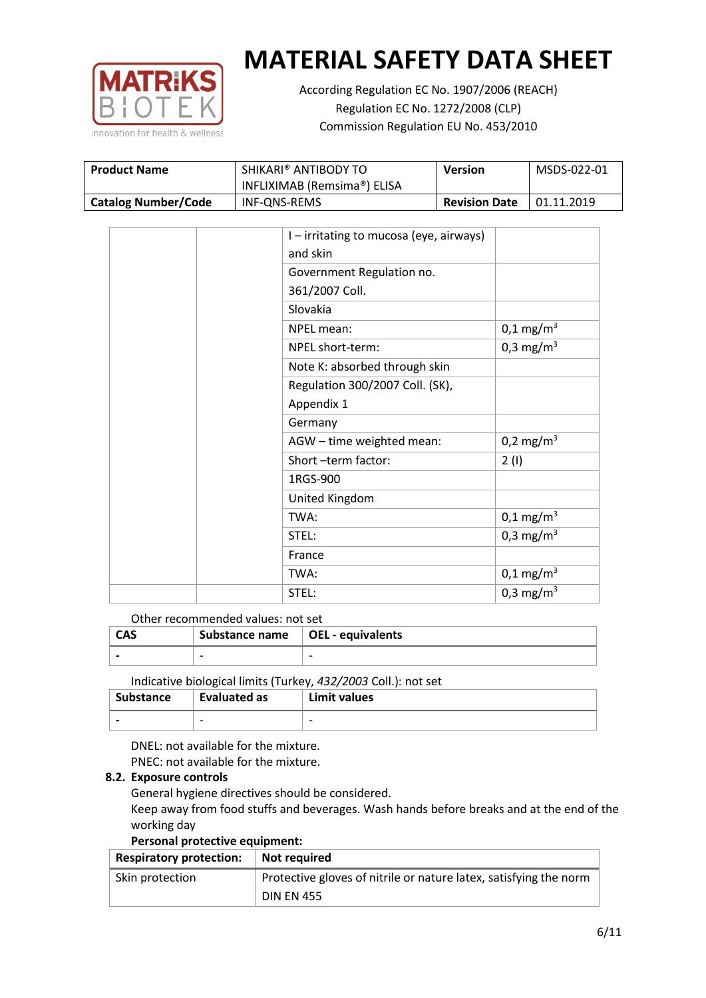

According Regulation EC No. 1907/2006 (REACH) Regulation EC No. 1272/2008 (CLP) Commission Regulation EU No. 453/2010

| <b>Product Name</b>        | SHIKARI® ANTIBODY TO<br>INFLIXIMAB (Remsima®) ELISA | <b>Version</b>       | MSDS-022-01 |
|----------------------------|-----------------------------------------------------|----------------------|-------------|
| <b>Catalog Number/Code</b> | INF-ONS-REMS                                        | <b>Revision Date</b> | 01.11.2019  |

|  | I – irritating to mucosa (eye, airways) |                         |
|--|-----------------------------------------|-------------------------|
|  | and skin                                |                         |
|  | Government Regulation no.               |                         |
|  | 361/2007 Coll.                          |                         |
|  | Slovakia                                |                         |
|  | NPEL mean:                              | $0,1 \text{ mg/m}^3$    |
|  | NPEL short-term:                        | 0,3 mg/m <sup>3</sup>   |
|  | Note K: absorbed through skin           |                         |
|  | Regulation 300/2007 Coll. (SK),         |                         |
|  | Appendix 1                              |                         |
|  | Germany                                 |                         |
|  | AGW - time weighted mean:               | 0,2 mg/m <sup>3</sup>   |
|  | Short-term factor:                      | 2(1)                    |
|  | 1RGS-900                                |                         |
|  | United Kingdom                          |                         |
|  | TWA:                                    | $0,1 \,\mathrm{mg/m^3}$ |
|  | STEL:                                   | 0,3 mg/m <sup>3</sup>   |
|  | France                                  |                         |
|  | TWA:                                    | $0,1 \text{ mg/m}^3$    |
|  | STEL:                                   | 0,3 mg/m <sup>3</sup>   |

#### Other recommended values: not set

| <b>CAS</b> | Substance name $\vert$ OEL - equivalents |  |
|------------|------------------------------------------|--|
|            | $\overline{\phantom{0}}$                 |  |
|            |                                          |  |

Indicative biological limits (Turkey, *432/2003* Coll.): not set

| Substance                | Evaluated as             | Limit values             |
|--------------------------|--------------------------|--------------------------|
| $\overline{\phantom{0}}$ | $\overline{\phantom{0}}$ | $\overline{\phantom{0}}$ |

DNEL: not available for the mixture. PNEC: not available for the mixture.

## **8.2. Exposure controls**

General hygiene directives should be considered.

Keep away from food stuffs and beverages. Wash hands before breaks and at the end of the working day

#### **Personal protective equipment:**

| <b>Respiratory protection:</b> | Not required                                                      |
|--------------------------------|-------------------------------------------------------------------|
| Skin protection                | Protective gloves of nitrile or nature latex, satisfying the norm |
|                                | <b>DIN EN 455</b>                                                 |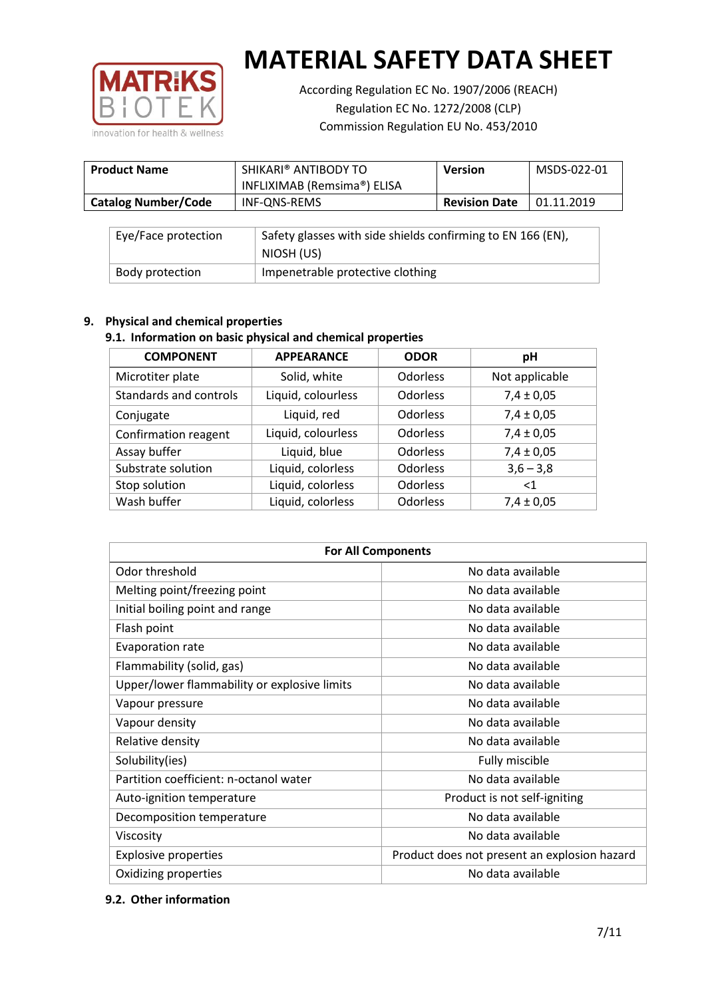

According Regulation EC No. 1907/2006 (REACH) Regulation EC No. 1272/2008 (CLP) Commission Regulation EU No. 453/2010

| <b>Product Name</b>        | SHIKARI® ANTIBODY TO<br>INFLIXIMAB (Remsima®) ELISA | <b>Version</b>       | MSDS-022-01 |
|----------------------------|-----------------------------------------------------|----------------------|-------------|
| <b>Catalog Number/Code</b> | INF-QNS-REMS                                        | <b>Revision Date</b> | 01.11.2019  |

| Eye/Face protection | Safety glasses with side shields confirming to EN 166 (EN),<br>NIOSH (US) |
|---------------------|---------------------------------------------------------------------------|
| Body protection     | Impenetrable protective clothing                                          |

## **9. Physical and chemical properties**

## **9.1. Information on basic physical and chemical properties**

| <b>COMPONENT</b>       | <b>APPEARANCE</b>  | <b>ODOR</b>     | рH             |
|------------------------|--------------------|-----------------|----------------|
| Microtiter plate       | Solid, white       | <b>Odorless</b> | Not applicable |
| Standards and controls | Liquid, colourless | <b>Odorless</b> | $7,4 \pm 0,05$ |
| Conjugate              | Liquid, red        | <b>Odorless</b> | $7,4 \pm 0,05$ |
| Confirmation reagent   | Liquid, colourless | <b>Odorless</b> | $7,4 \pm 0,05$ |
| Assay buffer           | Liquid, blue       | <b>Odorless</b> | $7,4 \pm 0,05$ |
| Substrate solution     | Liquid, colorless  | <b>Odorless</b> | $3,6 - 3,8$    |
| Stop solution          | Liquid, colorless  | <b>Odorless</b> | $<$ 1          |
| Wash buffer            | Liquid, colorless  | Odorless        | $7,4 \pm 0,05$ |

| <b>For All Components</b>                    |                                              |  |  |
|----------------------------------------------|----------------------------------------------|--|--|
| Odor threshold                               | No data available                            |  |  |
| Melting point/freezing point                 | No data available                            |  |  |
| Initial boiling point and range              | No data available                            |  |  |
| Flash point                                  | No data available                            |  |  |
| <b>Evaporation rate</b>                      | No data available                            |  |  |
| Flammability (solid, gas)                    | No data available                            |  |  |
| Upper/lower flammability or explosive limits | No data available                            |  |  |
| Vapour pressure                              | No data available                            |  |  |
| Vapour density                               | No data available                            |  |  |
| Relative density                             | No data available                            |  |  |
| Solubility(ies)                              | Fully miscible                               |  |  |
| Partition coefficient: n-octanol water       | No data available                            |  |  |
| Auto-ignition temperature                    | Product is not self-igniting                 |  |  |
| Decomposition temperature                    | No data available                            |  |  |
| Viscosity                                    | No data available                            |  |  |
| <b>Explosive properties</b>                  | Product does not present an explosion hazard |  |  |
| Oxidizing properties                         | No data available                            |  |  |

#### **9.2. Other information**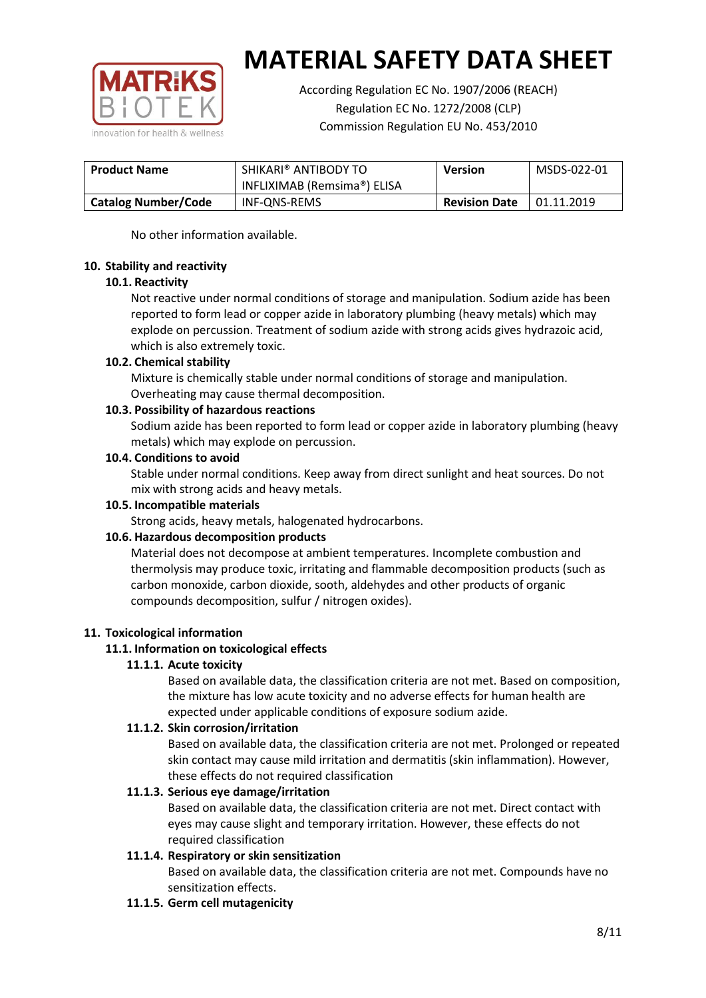

According Regulation EC No. 1907/2006 (REACH) Regulation EC No. 1272/2008 (CLP) Commission Regulation EU No. 453/2010

| <b>Product Name</b>        | SHIKARI® ANTIBODY TO        | <b>Version</b>       | MSDS-022-01 |
|----------------------------|-----------------------------|----------------------|-------------|
|                            | INFLIXIMAB (Remsima®) ELISA |                      |             |
| <b>Catalog Number/Code</b> | INF-QNS-REMS                | <b>Revision Date</b> | 01.11.2019  |

No other information available.

## **10. Stability and reactivity**

## **10.1. Reactivity**

Not reactive under normal conditions of storage and manipulation. Sodium azide has been reported to form lead or copper azide in laboratory plumbing (heavy metals) which may explode on percussion. Treatment of sodium azide with strong acids gives hydrazoic acid, which is also extremely toxic.

## **10.2. Chemical stability**

Mixture is chemically stable under normal conditions of storage and manipulation. Overheating may cause thermal decomposition.

## **10.3. Possibility of hazardous reactions**

Sodium azide has been reported to form lead or copper azide in laboratory plumbing (heavy metals) which may explode on percussion.

## **10.4. Conditions to avoid**

Stable under normal conditions. Keep away from direct sunlight and heat sources. Do not mix with strong acids and heavy metals.

#### **10.5. Incompatible materials**

Strong acids, heavy metals, halogenated hydrocarbons.

## **10.6. Hazardous decomposition products**

Material does not decompose at ambient temperatures. Incomplete combustion and thermolysis may produce toxic, irritating and flammable decomposition products (such as carbon monoxide, carbon dioxide, sooth, aldehydes and other products of organic compounds decomposition, sulfur / nitrogen oxides).

## **11. Toxicological information**

## **11.1. Information on toxicological effects**

#### **11.1.1. Acute toxicity**

Based on available data, the classification criteria are not met. Based on composition, the mixture has low acute toxicity and no adverse effects for human health are expected under applicable conditions of exposure sodium azide.

#### **11.1.2. Skin corrosion/irritation**

Based on available data, the classification criteria are not met. Prolonged or repeated skin contact may cause mild irritation and dermatitis (skin inflammation). However, these effects do not required classification

## **11.1.3. Serious eye damage/irritation**

Based on available data, the classification criteria are not met. Direct contact with eyes may cause slight and temporary irritation. However, these effects do not required classification

## **11.1.4. Respiratory or skin sensitization**

Based on available data, the classification criteria are not met. Compounds have no sensitization effects.

#### **11.1.5. Germ cell mutagenicity**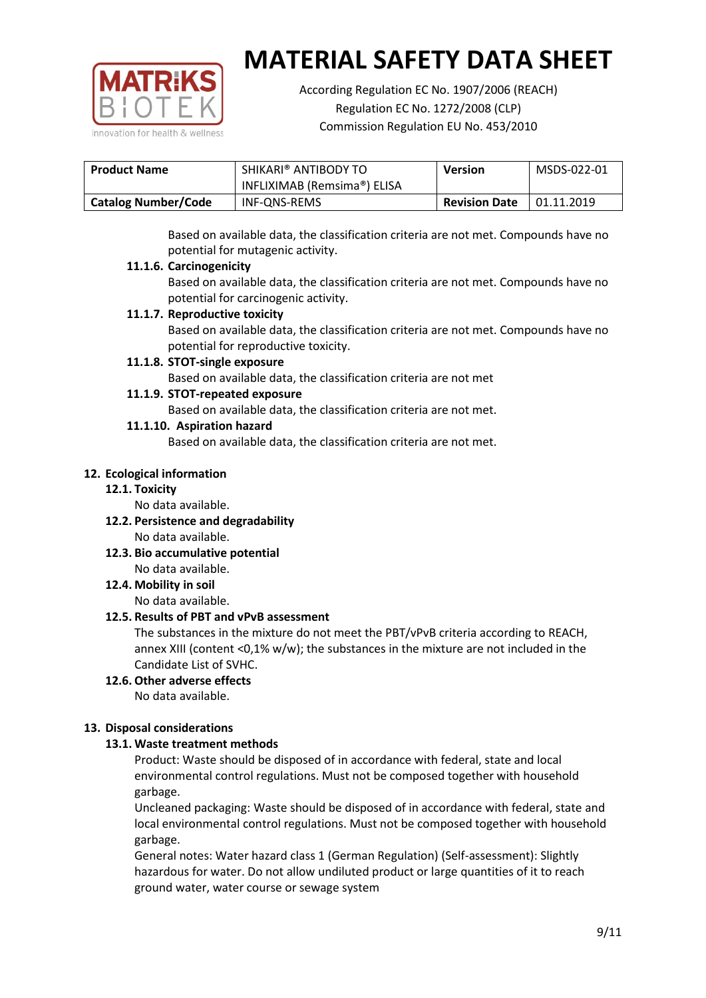

According Regulation EC No. 1907/2006 (REACH) Regulation EC No. 1272/2008 (CLP) Commission Regulation EU No. 453/2010

| <b>Product Name</b>        | SHIKARI® ANTIBODY TO        | <b>Version</b>       | MSDS-022-01 |
|----------------------------|-----------------------------|----------------------|-------------|
|                            | INFLIXIMAB (Remsima®) ELISA |                      |             |
| <b>Catalog Number/Code</b> | INF-QNS-REMS                | <b>Revision Date</b> | 01.11.2019  |

Based on available data, the classification criteria are not met. Compounds have no potential for mutagenic activity.

## **11.1.6. Carcinogenicity**

Based on available data, the classification criteria are not met. Compounds have no potential for carcinogenic activity.

## **11.1.7. Reproductive toxicity**

Based on available data, the classification criteria are not met. Compounds have no potential for reproductive toxicity.

## **11.1.8. STOT-single exposure**

Based on available data, the classification criteria are not met

## **11.1.9. STOT-repeated exposure**

Based on available data, the classification criteria are not met.

## **11.1.10. Aspiration hazard**

Based on available data, the classification criteria are not met.

## **12. Ecological information**

#### **12.1. Toxicity**

No data available.

- **12.2. Persistence and degradability** No data available.
- **12.3. Bio accumulative potential** No data available.

**12.4. Mobility in soil**

No data available.

## **12.5. Results of PBT and vPvB assessment**

The substances in the mixture do not meet the PBT/vPvB criteria according to REACH, annex XIII (content <0,1% w/w); the substances in the mixture are not included in the Candidate List of SVHC.

#### **12.6. Other adverse effects** No data available.

## **13. Disposal considerations**

## **13.1. Waste treatment methods**

Product: Waste should be disposed of in accordance with federal, state and local environmental control regulations. Must not be composed together with household garbage.

Uncleaned packaging: Waste should be disposed of in accordance with federal, state and local environmental control regulations. Must not be composed together with household garbage.

General notes: Water hazard class 1 (German Regulation) (Self-assessment): Slightly hazardous for water. Do not allow undiluted product or large quantities of it to reach ground water, water course or sewage system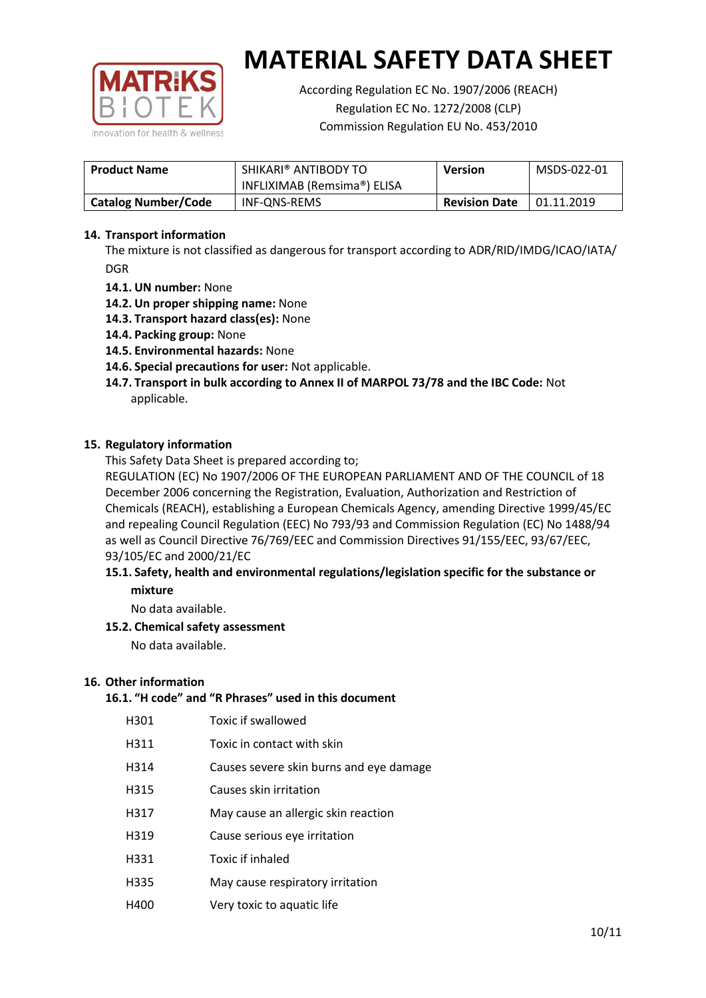

According Regulation EC No. 1907/2006 (REACH) Regulation EC No. 1272/2008 (CLP) Commission Regulation EU No. 453/2010

| <b>Product Name</b>        | SHIKARI® ANTIBODY TO<br><b>Version</b><br>INFLIXIMAB (Remsima®) ELISA |  | MSDS-022-01 |
|----------------------------|-----------------------------------------------------------------------|--|-------------|
| <b>Catalog Number/Code</b> | INF-ONS-REMS<br><b>Revision Date</b>                                  |  | 01.11.2019  |

## **14. Transport information**

The mixture is not classified as dangerous for transport according to ADR/RID/IMDG/ICAO/IATA/ DGR

- **14.1. UN number:** None
- **14.2. Un proper shipping name:** None
- **14.3. Transport hazard class(es):** None
- **14.4. Packing group:** None
- **14.5. Environmental hazards:** None
- **14.6. Special precautions for user:** Not applicable.
- **14.7. Transport in bulk according to Annex II of MARPOL 73/78 and the IBC Code:** Not applicable.

#### **15. Regulatory information**

This Safety Data Sheet is prepared according to;

REGULATION (EC) No 1907/2006 OF THE EUROPEAN PARLIAMENT AND OF THE COUNCIL of 18 December 2006 concerning the Registration, Evaluation, Authorization and Restriction of Chemicals (REACH), establishing a European Chemicals Agency, amending Directive 1999/45/EC and repealing Council Regulation (EEC) No 793/93 and Commission Regulation (EC) No 1488/94 as well as Council Directive 76/769/EEC and Commission Directives 91/155/EEC, 93/67/EEC, 93/105/EC and 2000/21/EC

## **15.1. Safety, health and environmental regulations/legislation specific for the substance or mixture**

No data available.

## **15.2. Chemical safety assessment**

No data available.

#### **16. Other information**

# **16.1. "H code" and "R Phrases" used in this document**

| H301 | Toxic if swallowed |
|------|--------------------|
|------|--------------------|

- H311 Toxic in contact with skin
- H314 Causes severe skin burns and eye damage
- H315 Causes skin irritation
- H317 May cause an allergic skin reaction
- H319 Cause serious eye irritation
- H331 Toxic if inhaled
- H335 May cause respiratory irritation
- H400 Very toxic to aquatic life